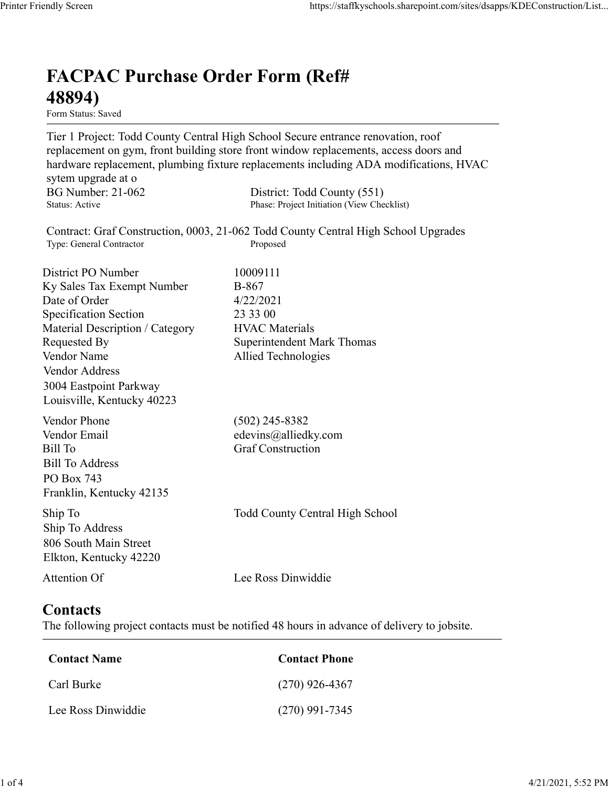## FACPAC Purchase Order Form (Ref# 48894)

Form Status: Saved

Tier 1 Project: Todd County Central High School Secure entrance renovation, roof replacement on gym, front building store front window replacements, access doors and hardware replacement, plumbing fixture replacements including ADA modifications, HVAC sytem upgrade at o https://staffkyschools.sharepoint.com/sites/dsapps/KDEConstructic<br> **FACPAC Purchase Order Form (Ref#**<br>
Form Status: Saved<br>
Tier 1 Project: Todd County Central High School Secure entrance renovation, roof<br>
replacement on gy https://staffkyschools.sharepoint.com/sites/dsapps/KDEConstructic<br> **FACPAC Purchase Order Form (Ref#**<br>
Form Status: Saved<br>
Form Status: Saved<br>
Tier 1 Project: Todd County Central High School Secure entrance renovation, roo Contract: Graf Construction, 0003, 21-062 Todd County Central High School Upgrades https://staffkyschools.sharepoint.com/sites/dsarps/KDFConstructic<br> **FACPAC Purchase Order Form (Ref#**<br>
Form Status: Saved<br>
Form Status: Saved<br>
Ter 1 Project: Todd County Central High School Secure entrance renovation, roof **FACPAC Purchase Order Form (Ref#**<br> **48894)**<br> **Form Status:** Saved<br>
Tier 1 Project: Todd County Central High School Sceure entrance renovation, roof<br>
replacement on gym, front building store front window replacements, acc **FACPAC Purchase Order Form (Ref#**<br>  $\begin{array}{lllllllllllllllllllllllllllllllllllllllllll} \text{Form states} & \text{Saved} \end{array}$ <br>
Form Shanes Saved<br>
Form Tepicat: Todd County Central High School Sceure entrance renovation, roof<br>
replacement on gym, front building s **FACPAC Purchase Order Form (Ref#** $\leftarrow$  **48894)**<br>
Form Status: Saved<br>
Tier 1 Project: Todd County Central High School Secure entrance renovation, roof<br>
replacement on gym, front building store front window replacements, acc **FACPAC Purchase Order Form (Ref#**<br> **48894)**<br>
Form Status: Saved<br>
Tier 1 Project: Todd County Central High School Sceure entrance renovation, roof<br>
replacement on gym, front building store front window replacements, acces **FACPAC Purchase Order Form (Ref#**<br> **48894)**<br>
Form Status. Saved<br>
Tert 1 Project: Todd County Central High School Secure entrance renovation, roof<br>
Teplacement on gym, front building store front window replacements, acces **48894)**<br>
Form Status: Saved<br>
Tier 1 Project: Todd County Central High School Secure entrance renovation, roof<br>
replacement on gym, front building store front window replacements, access doors and<br>
hardware replacement, pl **From States:** Swed<br> **From States:** Swed<br>
Trer 1 Project: Todd County Central High School Sceure entrance renovation, roof<br>
replacement on gym, front building store front window replacements, access doors and<br>
hardware rep Vendor Address 3004 Eastpoint Parkway Louisville, Kentucky 40223 nardware replacements, multimagn Kittler replacements including ADA modifications, HVAC<br>
sytem upgrade at o<br>
BG Number: 21-062 District: Todd County (551)<br>
Status: Active<br>
Contract: Graf Construction, 0003, 21-062 Todd Cou sytem upgrade at o<br>
BG Number: 21-062 District: Todd County (551)<br>
Status: Active Phase: Project Initiation (View Checklist)<br>
Status: Active Phase: Project Initiation (View Checklist)<br>
Tyc: General Contracter Phase: Propos Bill Number: 21-062<br>
Bill Number<br>
Bill Static: Active<br>
Thus: Project Initiation (View Checkliss)<br>
Contract: Graf Construction, 0003, 21-062 Todd County Central High School Upgrades<br>
Type: General Contractor<br>
District PO Nu Bill To Address PO Box 743 Franklin, Kentucky 42135 District PO Number<br>
IS Notes of Order<br>
Date of Order<br>
Date of Order<br>
Specification Section<br>
Securication Category<br>
Material Description / Category<br>
HVAC Materials<br>
Nenders<br>
Nender Nemes<br>
Nender Nemes<br>
Vendor Address<br>
Vendo Ship To Address 806 South Main Street Elkton, Kentucky 42220 Material Description / Category<br>
Requested By<br>
Requested By<br>
Vendor Name<br>
Vendor Address<br>
Vendor Address<br>
Vendor Address<br>
Louisville, Kentucky 40223<br>
Attention Phone<br>
(502) 245-8382<br>
Vendor Phone<br>
(502) 245-8382<br>
Vendor Ph **Contacts** The following project contacts must be notified 48 hours in advance of delivery to jobsite. Contact Remarks +0225<br>
endor Email<br>
iil To<br>
Federins (502) 245-8382<br>
endor Email<br>
iil To<br>
Eddress<br>
Contact Construction<br>
In To Address<br>
To Box 743<br>
the To<br>
Contact Name Strucky 42220<br>
Litention Of<br>
Contact She following p Formail<br>
edevins@alliedky.com<br>
Sill To Address<br>
Sill To Address<br>
O Box 743<br>
mip To<br>
O Box 743<br>
mip To<br>
O Box 743<br>
mip To<br>
O Gost Main Street<br>
Mich School<br>
Mich School<br>
Mich School<br>
Exchick (Richon, Kentucky 42220<br>
Letchion Sill To Address<br>
Co Box 743<br>
Tranklin, Kentucky 42135<br>
hip To<br>
Todd County Central High School<br>
Michigo To Address<br>
hip To Address<br>
Likton, Kentucky 42220<br>
Lee Ross Dinwiddie<br> **Contact Secure Ross Dinamiller**<br>
Contact Name

| Contact Name       | <b>Contact Phone</b> |
|--------------------|----------------------|
| Carl Burke         | $(270)$ 926-4367     |
| Lee Ross Dinwiddie | $(270)$ 991-7345     |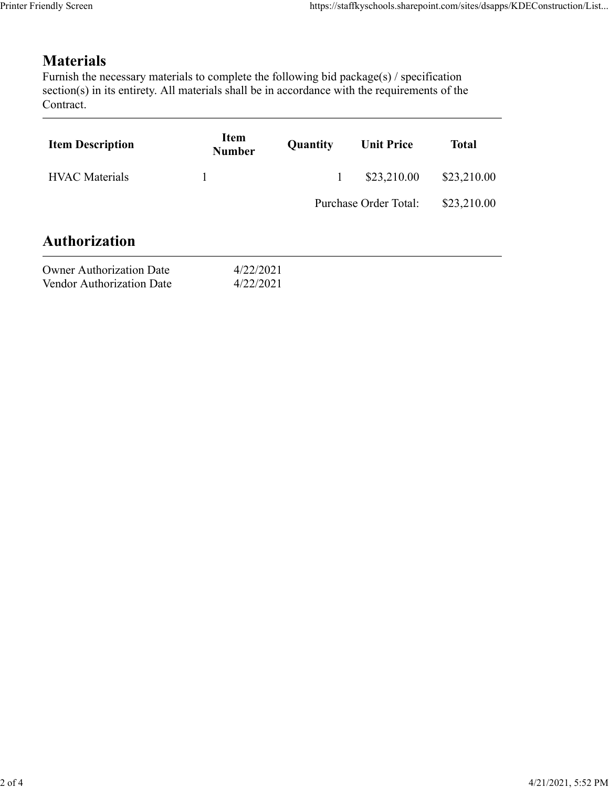## **Materials**

|                                                                                                                                                                                                                            |                              |              |                       | https://staffkyschools.sharepoint.com/sites/dsapps/KDEConstruction/List |
|----------------------------------------------------------------------------------------------------------------------------------------------------------------------------------------------------------------------------|------------------------------|--------------|-----------------------|-------------------------------------------------------------------------|
|                                                                                                                                                                                                                            |                              |              |                       |                                                                         |
| <b>Materials</b><br>Furnish the necessary materials to complete the following bid package(s) / specification<br>section(s) in its entirety. All materials shall be in accordance with the requirements of the<br>Contract. |                              |              |                       |                                                                         |
| <b>Item Description</b>                                                                                                                                                                                                    | <b>Item</b><br><b>Number</b> | Quantity     | <b>Unit Price</b>     | <b>Total</b>                                                            |
| <b>HVAC</b> Materials                                                                                                                                                                                                      | 1                            | $\mathbf{1}$ | \$23,210.00           | \$23,210.00                                                             |
|                                                                                                                                                                                                                            |                              |              | Purchase Order Total: | \$23,210.00                                                             |
| <b>Authorization</b>                                                                                                                                                                                                       |                              |              |                       |                                                                         |
|                                                                                                                                                                                                                            |                              |              |                       |                                                                         |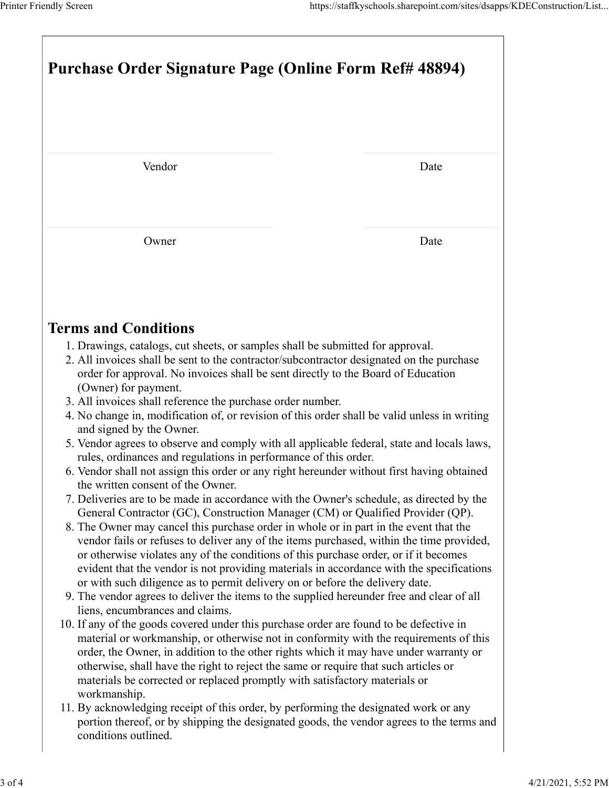| Printer Friendly Screen<br>https://staffkyschools.sharepoint.com/sites/dsapps/KDEConstruction/List<br><b>Purchase Order Signature Page (Online Form Ref# 48894)</b><br>Vendor<br>Date<br>Owner<br>Date<br><b>Terms and Conditions</b><br>1. Drawings, catalogs, cut sheets, or samples shall be submitted for approval.<br>2. All invoices shall be sent to the contractor/subcontractor designated on the purchase<br>order for approval. No invoices shall be sent directly to the Board of Education<br>(Owner) for payment.<br>3. All invoices shall reference the purchase order number.<br>4. No change in, modification of, or revision of this order shall be valid unless in writing<br>and signed by the Owner.<br>5. Vendor agrees to observe and comply with all applicable federal, state and locals laws,<br>rules, ordinances and regulations in performance of this order.<br>6. Vendor shall not assign this order or any right hereunder without first having obtained<br>the written consent of the Owner.<br>7. Deliveries are to be made in accordance with the Owner's schedule, as directed by the<br>General Contractor (GC), Construction Manager (CM) or Qualified Provider (QP).<br>8. The Owner may cancel this purchase order in whole or in part in the event that the<br>vendor fails or refuses to deliver any of the items purchased, within the time provided,<br>or otherwise violates any of the conditions of this purchase order, or if it becomes<br>evident that the vendor is not providing materials in accordance with the specifications<br>or with such diligence as to permit delivery on or before the delivery date.<br>9. The vendor agrees to deliver the items to the supplied hereunder free and clear of all<br>liens, encumbrances and claims.<br>10. If any of the goods covered under this purchase order are found to be defective in<br>material or workmanship, or otherwise not in conformity with the requirements of this<br>order, the Owner, in addition to the other rights which it may have under warranty or<br>otherwise, shall have the right to reject the same or require that such articles or<br>materials be corrected or replaced promptly with satisfactory materials or |  |
|-------------------------------------------------------------------------------------------------------------------------------------------------------------------------------------------------------------------------------------------------------------------------------------------------------------------------------------------------------------------------------------------------------------------------------------------------------------------------------------------------------------------------------------------------------------------------------------------------------------------------------------------------------------------------------------------------------------------------------------------------------------------------------------------------------------------------------------------------------------------------------------------------------------------------------------------------------------------------------------------------------------------------------------------------------------------------------------------------------------------------------------------------------------------------------------------------------------------------------------------------------------------------------------------------------------------------------------------------------------------------------------------------------------------------------------------------------------------------------------------------------------------------------------------------------------------------------------------------------------------------------------------------------------------------------------------------------------------------------------------------------------------------------------------------------------------------------------------------------------------------------------------------------------------------------------------------------------------------------------------------------------------------------------------------------------------------------------------------------------------------------------------------------------------------------------------------------------------------------------------------------|--|
|                                                                                                                                                                                                                                                                                                                                                                                                                                                                                                                                                                                                                                                                                                                                                                                                                                                                                                                                                                                                                                                                                                                                                                                                                                                                                                                                                                                                                                                                                                                                                                                                                                                                                                                                                                                                                                                                                                                                                                                                                                                                                                                                                                                                                                                       |  |
|                                                                                                                                                                                                                                                                                                                                                                                                                                                                                                                                                                                                                                                                                                                                                                                                                                                                                                                                                                                                                                                                                                                                                                                                                                                                                                                                                                                                                                                                                                                                                                                                                                                                                                                                                                                                                                                                                                                                                                                                                                                                                                                                                                                                                                                       |  |
|                                                                                                                                                                                                                                                                                                                                                                                                                                                                                                                                                                                                                                                                                                                                                                                                                                                                                                                                                                                                                                                                                                                                                                                                                                                                                                                                                                                                                                                                                                                                                                                                                                                                                                                                                                                                                                                                                                                                                                                                                                                                                                                                                                                                                                                       |  |
|                                                                                                                                                                                                                                                                                                                                                                                                                                                                                                                                                                                                                                                                                                                                                                                                                                                                                                                                                                                                                                                                                                                                                                                                                                                                                                                                                                                                                                                                                                                                                                                                                                                                                                                                                                                                                                                                                                                                                                                                                                                                                                                                                                                                                                                       |  |
|                                                                                                                                                                                                                                                                                                                                                                                                                                                                                                                                                                                                                                                                                                                                                                                                                                                                                                                                                                                                                                                                                                                                                                                                                                                                                                                                                                                                                                                                                                                                                                                                                                                                                                                                                                                                                                                                                                                                                                                                                                                                                                                                                                                                                                                       |  |
|                                                                                                                                                                                                                                                                                                                                                                                                                                                                                                                                                                                                                                                                                                                                                                                                                                                                                                                                                                                                                                                                                                                                                                                                                                                                                                                                                                                                                                                                                                                                                                                                                                                                                                                                                                                                                                                                                                                                                                                                                                                                                                                                                                                                                                                       |  |
|                                                                                                                                                                                                                                                                                                                                                                                                                                                                                                                                                                                                                                                                                                                                                                                                                                                                                                                                                                                                                                                                                                                                                                                                                                                                                                                                                                                                                                                                                                                                                                                                                                                                                                                                                                                                                                                                                                                                                                                                                                                                                                                                                                                                                                                       |  |
|                                                                                                                                                                                                                                                                                                                                                                                                                                                                                                                                                                                                                                                                                                                                                                                                                                                                                                                                                                                                                                                                                                                                                                                                                                                                                                                                                                                                                                                                                                                                                                                                                                                                                                                                                                                                                                                                                                                                                                                                                                                                                                                                                                                                                                                       |  |
|                                                                                                                                                                                                                                                                                                                                                                                                                                                                                                                                                                                                                                                                                                                                                                                                                                                                                                                                                                                                                                                                                                                                                                                                                                                                                                                                                                                                                                                                                                                                                                                                                                                                                                                                                                                                                                                                                                                                                                                                                                                                                                                                                                                                                                                       |  |
|                                                                                                                                                                                                                                                                                                                                                                                                                                                                                                                                                                                                                                                                                                                                                                                                                                                                                                                                                                                                                                                                                                                                                                                                                                                                                                                                                                                                                                                                                                                                                                                                                                                                                                                                                                                                                                                                                                                                                                                                                                                                                                                                                                                                                                                       |  |
|                                                                                                                                                                                                                                                                                                                                                                                                                                                                                                                                                                                                                                                                                                                                                                                                                                                                                                                                                                                                                                                                                                                                                                                                                                                                                                                                                                                                                                                                                                                                                                                                                                                                                                                                                                                                                                                                                                                                                                                                                                                                                                                                                                                                                                                       |  |
|                                                                                                                                                                                                                                                                                                                                                                                                                                                                                                                                                                                                                                                                                                                                                                                                                                                                                                                                                                                                                                                                                                                                                                                                                                                                                                                                                                                                                                                                                                                                                                                                                                                                                                                                                                                                                                                                                                                                                                                                                                                                                                                                                                                                                                                       |  |
|                                                                                                                                                                                                                                                                                                                                                                                                                                                                                                                                                                                                                                                                                                                                                                                                                                                                                                                                                                                                                                                                                                                                                                                                                                                                                                                                                                                                                                                                                                                                                                                                                                                                                                                                                                                                                                                                                                                                                                                                                                                                                                                                                                                                                                                       |  |
|                                                                                                                                                                                                                                                                                                                                                                                                                                                                                                                                                                                                                                                                                                                                                                                                                                                                                                                                                                                                                                                                                                                                                                                                                                                                                                                                                                                                                                                                                                                                                                                                                                                                                                                                                                                                                                                                                                                                                                                                                                                                                                                                                                                                                                                       |  |
|                                                                                                                                                                                                                                                                                                                                                                                                                                                                                                                                                                                                                                                                                                                                                                                                                                                                                                                                                                                                                                                                                                                                                                                                                                                                                                                                                                                                                                                                                                                                                                                                                                                                                                                                                                                                                                                                                                                                                                                                                                                                                                                                                                                                                                                       |  |
|                                                                                                                                                                                                                                                                                                                                                                                                                                                                                                                                                                                                                                                                                                                                                                                                                                                                                                                                                                                                                                                                                                                                                                                                                                                                                                                                                                                                                                                                                                                                                                                                                                                                                                                                                                                                                                                                                                                                                                                                                                                                                                                                                                                                                                                       |  |
|                                                                                                                                                                                                                                                                                                                                                                                                                                                                                                                                                                                                                                                                                                                                                                                                                                                                                                                                                                                                                                                                                                                                                                                                                                                                                                                                                                                                                                                                                                                                                                                                                                                                                                                                                                                                                                                                                                                                                                                                                                                                                                                                                                                                                                                       |  |
|                                                                                                                                                                                                                                                                                                                                                                                                                                                                                                                                                                                                                                                                                                                                                                                                                                                                                                                                                                                                                                                                                                                                                                                                                                                                                                                                                                                                                                                                                                                                                                                                                                                                                                                                                                                                                                                                                                                                                                                                                                                                                                                                                                                                                                                       |  |
|                                                                                                                                                                                                                                                                                                                                                                                                                                                                                                                                                                                                                                                                                                                                                                                                                                                                                                                                                                                                                                                                                                                                                                                                                                                                                                                                                                                                                                                                                                                                                                                                                                                                                                                                                                                                                                                                                                                                                                                                                                                                                                                                                                                                                                                       |  |
|                                                                                                                                                                                                                                                                                                                                                                                                                                                                                                                                                                                                                                                                                                                                                                                                                                                                                                                                                                                                                                                                                                                                                                                                                                                                                                                                                                                                                                                                                                                                                                                                                                                                                                                                                                                                                                                                                                                                                                                                                                                                                                                                                                                                                                                       |  |
|                                                                                                                                                                                                                                                                                                                                                                                                                                                                                                                                                                                                                                                                                                                                                                                                                                                                                                                                                                                                                                                                                                                                                                                                                                                                                                                                                                                                                                                                                                                                                                                                                                                                                                                                                                                                                                                                                                                                                                                                                                                                                                                                                                                                                                                       |  |
|                                                                                                                                                                                                                                                                                                                                                                                                                                                                                                                                                                                                                                                                                                                                                                                                                                                                                                                                                                                                                                                                                                                                                                                                                                                                                                                                                                                                                                                                                                                                                                                                                                                                                                                                                                                                                                                                                                                                                                                                                                                                                                                                                                                                                                                       |  |
|                                                                                                                                                                                                                                                                                                                                                                                                                                                                                                                                                                                                                                                                                                                                                                                                                                                                                                                                                                                                                                                                                                                                                                                                                                                                                                                                                                                                                                                                                                                                                                                                                                                                                                                                                                                                                                                                                                                                                                                                                                                                                                                                                                                                                                                       |  |
|                                                                                                                                                                                                                                                                                                                                                                                                                                                                                                                                                                                                                                                                                                                                                                                                                                                                                                                                                                                                                                                                                                                                                                                                                                                                                                                                                                                                                                                                                                                                                                                                                                                                                                                                                                                                                                                                                                                                                                                                                                                                                                                                                                                                                                                       |  |
| workmanship.                                                                                                                                                                                                                                                                                                                                                                                                                                                                                                                                                                                                                                                                                                                                                                                                                                                                                                                                                                                                                                                                                                                                                                                                                                                                                                                                                                                                                                                                                                                                                                                                                                                                                                                                                                                                                                                                                                                                                                                                                                                                                                                                                                                                                                          |  |
| 11. By acknowledging receipt of this order, by performing the designated work or any<br>portion thereof, or by shipping the designated goods, the vendor agrees to the terms and                                                                                                                                                                                                                                                                                                                                                                                                                                                                                                                                                                                                                                                                                                                                                                                                                                                                                                                                                                                                                                                                                                                                                                                                                                                                                                                                                                                                                                                                                                                                                                                                                                                                                                                                                                                                                                                                                                                                                                                                                                                                      |  |
| conditions outlined.                                                                                                                                                                                                                                                                                                                                                                                                                                                                                                                                                                                                                                                                                                                                                                                                                                                                                                                                                                                                                                                                                                                                                                                                                                                                                                                                                                                                                                                                                                                                                                                                                                                                                                                                                                                                                                                                                                                                                                                                                                                                                                                                                                                                                                  |  |